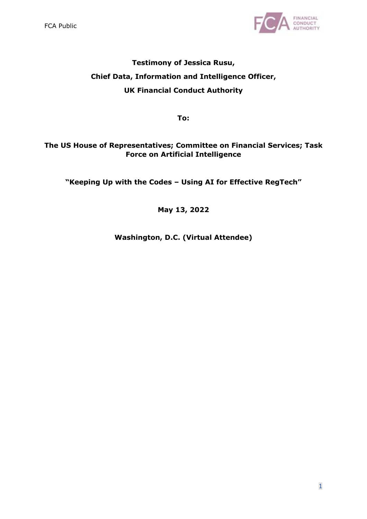

# **Testimony of Jessica Rusu, Chief Data, Information and Intelligence Officer, UK Financial Conduct Authority**

**To:**

# **The US House of Representatives; Committee on Financial Services; Task Force on Artificial Intelligence**

**"Keeping Up with the Codes – Using AI for Effective RegTech"**

# **May 13, 2022**

**Washington, D.C. (Virtual Attendee)**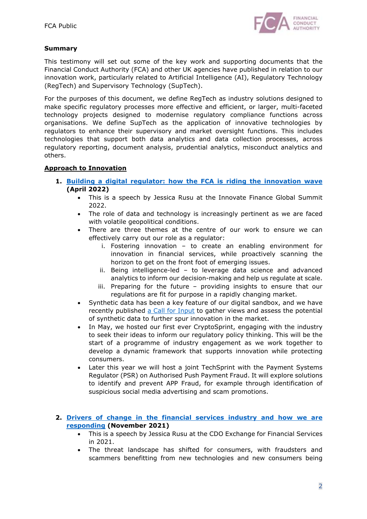

## **Summary**

This testimony will set out some of the key work and supporting documents that the Financial Conduct Authority (FCA) and other UK agencies have published in relation to our innovation work, particularly related to Artificial Intelligence (AI), Regulatory Technology (RegTech) and Supervisory Technology (SupTech).

For the purposes of this document, we define RegTech as industry solutions designed to make specific regulatory processes more effective and efficient, or larger, multi-faceted technology projects designed to modernise regulatory compliance functions across organisations. We define SupTech as the application of innovative technologies by regulators to enhance their supervisory and market oversight functions. This includes technologies that support both data analytics and data collection processes, across regulatory reporting, document analysis, prudential analytics, misconduct analytics and others.

### **Approach to Innovation**

- **1. [Building a digital regulator: how the FCA is riding the innovation wave](https://www.fca.org.uk/news/speeches/building-digital-regulator-how-fca-riding-innovation-wave) (April 2022)**
	- This is a speech by Jessica Rusu at the Innovate Finance Global Summit 2022.
	- The role of data and technology is increasingly pertinent as we are faced with volatile geopolitical conditions.
	- There are three themes at the centre of our work to ensure we can effectively carry out our role as a regulator:
		- i. Fostering innovation to create an enabling environment for innovation in financial services, while proactively scanning the horizon to get on the front foot of emerging issues.
		- ii. Being intelligence-led to leverage data science and advanced analytics to inform our decision-making and help us regulate at scale.
		- iii. Preparing for the future providing insights to ensure that our regulations are fit for purpose in a rapidly changing market.
	- Synthetic data has been a key feature of our digital sandbox, and we have recently published [a Call for Input](https://www.fca.org.uk/publications/calls-input/call-input-synthetic-data-support-financial-services-innovation) to gather views and assess the potential of synthetic data to further spur innovation in the market.
	- In May, we hosted our first ever CryptoSprint, engaging with the industry to seek their ideas to inform our regulatory policy thinking. This will be the start of a programme of industry engagement as we work together to develop a dynamic framework that supports innovation while protecting consumers.
	- Later this year we will host a joint TechSprint with the Payment Systems Regulator (PSR) on Authorised Push Payment Fraud. It will explore solutions to identify and prevent APP Fraud, for example through identification of suspicious social media advertising and scam promotions.

#### **2. [Drivers of change in the financial services industry and how we are](https://www.fca.org.uk/news/speeches/drivers-change-financial-services-industry-and-how-we-are-responding) responding (November 2021)**

- This is a speech by Jessica Rusu at the CDO Exchange for Financial Services in 2021.
- The threat landscape has shifted for consumers, with fraudsters and scammers benefitting from new technologies and new consumers being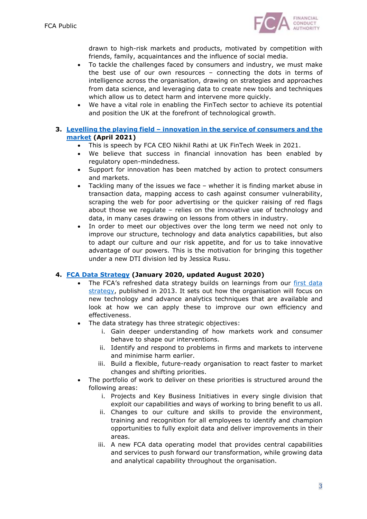

drawn to high-risk markets and products, motivated by competition with friends, family, acquaintances and the influence of social media.

- To tackle the challenges faced by consumers and industry, we must make the best use of our own resources – connecting the dots in terms of intelligence across the organisation, drawing on strategies and approaches from data science, and leveraging data to create new tools and techniques which allow us to detect harm and intervene more quickly.
- We have a vital role in enabling the FinTech sector to achieve its potential and position the UK at the forefront of technological growth.

### **3. Levelling the playing field – [innovation in the service of consumers and the](https://www.fca.org.uk/news/speeches/levelling-playing-field-innovation-service-consumers-and-market) market (April 2021)**

- This is speech by FCA CEO Nikhil Rathi at UK FinTech Week in 2021.
- We believe that success in financial innovation has been enabled by regulatory open-mindedness.
- Support for innovation has been matched by action to protect consumers and markets.
- Tackling many of the issues we face whether it is finding market abuse in transaction data, mapping access to cash against consumer vulnerability, scraping the web for poor advertising or the quicker raising of red flags about those we regulate – relies on the innovative use of technology and data, in many cases drawing on lessons from others in industry.
- In order to meet our objectives over the long term we need not only to improve our structure, technology and data analytics capabilities, but also to adapt our culture and our risk appetite, and for us to take innovative advantage of our powers. This is the motivation for bringing this together under a new DTI division led by Jessica Rusu.

### **4. FCA Data Strategy [\(January 2020, updated August 2020\)](https://www.fca.org.uk/publications/corporate-documents/data-strategy)**

- [The FCA's refreshed data strategy builds on learnings from our first data](https://www.fca.org.uk/publication/corporate/fca-data-strategy.pdf) strategy, published in 2013. It sets out how the organisation will focus on new technology and advance analytics techniques that are available and look at how we can apply these to improve our own efficiency and effectiveness.
- The data strategy has three strategic objectives:
	- i. Gain deeper understanding of how markets work and consumer behave to shape our interventions.
	- ii. Identify and respond to problems in firms and markets to intervene and minimise harm earlier.
	- iii. Build a flexible, future-ready organisation to react faster to market changes and shifting priorities.
- The portfolio of work to deliver on these priorities is structured around the following areas:
	- i. Projects and Key Business Initiatives in every single division that exploit our capabilities and ways of working to bring benefit to us all.
	- ii. Changes to our culture and skills to provide the environment, training and recognition for all employees to identify and champion opportunities to fully exploit data and deliver improvements in their areas.
	- iii. A new FCA data operating model that provides central capabilities and services to push forward our transformation, while growing data and analytical capability throughout the organisation.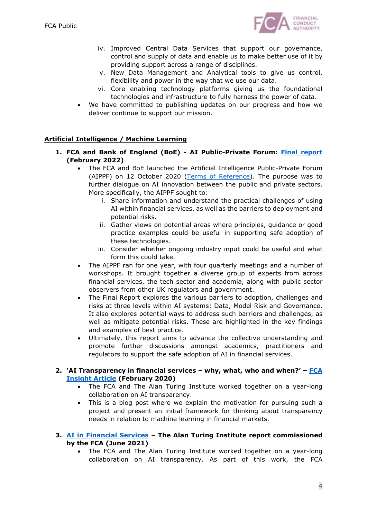

- iv. Improved Central Data Services that support our governance, control and supply of data and enable us to make better use of it by providing support across a range of disciplines.
- v. New Data Management and Analytical tools to give us control, flexibility and power in the way that we use our data.
- vi. Core enabling technology platforms giving us the foundational technologies and infrastructure to fully harness the power of data.
- We have committed to publishing updates on our progress and how we deliver continue to support our mission.

## **Artificial Intelligence / Machine Learning**

- **1. FCA and Bank of England (BoE) - AI Public-Private Foru[m: Final report](https://www.bankofengland.co.uk/-/media/boe/files/fintech/ai-public-private-forum-final-report.pdf?la=en&hash=F432B83794DDF3F580AC5A454F7DFF433D091AA5) (February 2022)**
	- The FCA and BoE launched the Artificial Intelligence Public-Private Forum (AIPPF) on 12 October 2020 ([Terms of Reference](https://www.bankofengland.co.uk/-/media/boe/files/fintech/aippf-terms-of-reference)). The purpose was to further dialogue on AI innovation between the public and private sectors. More specifically, the AIPPF sought to:
		- i. Share information and understand the practical challenges of using AI within financial services, as well as the barriers to deployment and potential risks.
		- ii. Gather views on potential areas where principles, guidance or good practice examples could be useful in supporting safe adoption of these technologies.
		- iii. Consider whether ongoing industry input could be useful and what form this could take.
	- The AIPPF ran for one year, with four quarterly meetings and a number of workshops. It brought together a diverse group of experts from across financial services, the tech sector and academia, along with public sector observers from other UK regulators and government.
	- The Final Report explores the various barriers to adoption, challenges and risks at three levels within AI systems: Data, Model Risk and Governance. It also explores potential ways to address such barriers and challenges, as well as mitigate potential risks. These are highlighted in the key findings and examples of best practice.
	- Ultimately, this report aims to advance the collective understanding and promote further discussions amongst academics, practitioners and regulators to support the safe adoption of AI in financial services.

### **2. ['AI Transparency in financial services –](https://www.fca.org.uk/insight/ai-transparency-financial-services-why-what-who-and-when) why, what, who and when?' – FCA Insight Article (February 2020)**

- The FCA and The Alan Turing Institute worked together on a year-long collaboration on AI transparency.
- This is a blog post where we explain the motivation for pursuing such a project and present an initial framework for thinking about transparency needs in relation to machine learning in financial markets.

### **3. AI in Fi[nancial Services](https://www.turing.ac.uk/sites/default/files/2021-06/ati_ai_in_financial_services_lores.pdf) – The Alan Turing Institute report commissioned by the FCA (June 2021)**

 The FCA and The Alan Turing Institute worked together on a year-long collaboration on AI transparency. As part of this work, the FCA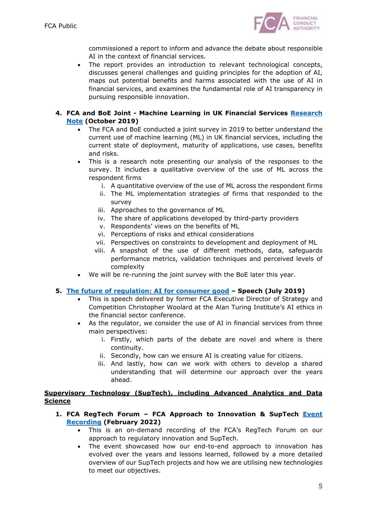

commissioned a report to inform and advance the debate about responsible AI in the context of financial services.

 The report provides an introduction to relevant technological concepts, discusses general challenges and guiding principles for the adoption of AI, maps out potential benefits and harms associated with the use of AI in financial services, and examines the fundamental role of AI transparency in pursuing responsible innovation.

### **4. FCA and BoE Joint - [Machine Learning in UK Financial Services Research](https://www.fca.org.uk/publication/research/research-note-on-machine-learning-in-uk-financial-services.pdf) Note (October 2019)**

- The FCA and BoE conducted a joint survey in 2019 to better understand the current use of machine learning (ML) in UK financial services, including the current state of deployment, maturity of applications, use cases, benefits and risks.
- This is a research note presenting our analysis of the responses to the survey. It includes a qualitative overview of the use of ML across the respondent firms
	- i. A quantitative overview of the use of ML across the respondent firms
	- ii. The ML implementation strategies of firms that responded to the survey
	- iii. Approaches to the governance of ML
	- iv. The share of applications developed by third-party providers
	- v. Respondents' views on the benefits of ML
	- vi. Perceptions of risks and ethical considerations
	- vii. Perspectives on constraints to development and deployment of ML
	- viii. A snapshot of the use of different methods, data, safeguards performance metrics, validation techniques and perceived levels of complexity
- We will be re-running the joint survey with the BoE later this year.

### **5. The fut[ure of regulation: AI for consumer good](https://www.fca.org.uk/news/speeches/future-regulation-ai-consumer-good) – Speech (July 2019)**

- This is speech delivered by former FCA Executive Director of Strategy and Competition Christopher Woolard at the Alan Turing Institute's AI ethics in the financial sector conference.
- As the regulator, we consider the use of AI in financial services from three main perspectives:
	- i. Firstly, which parts of the debate are novel and where is there continuity.
	- ii. Secondly, how can we ensure AI is creating value for citizens.
	- iii. And lastly, how can we work with others to develop a shared understanding that will determine our approach over the years ahead.

### **Supervisory Technology (SupTech), including Advanced Analytics and Data Science**

- **1. FCA RegTech Forum – [FCA Approach to Innovation & SupTech Event](https://webinars.fca.org.uk/regtech-forum-fca-approach-to/room) Recording (February 2022)**
	- This is an on-demand recording of the FCA's RegTech Forum on our approach to regulatory innovation and SupTech.
	- The event showcased how our end-to-end approach to innovation has evolved over the years and lessons learned, followed by a more detailed overview of our SupTech projects and how we are utilising new technologies to meet our objectives.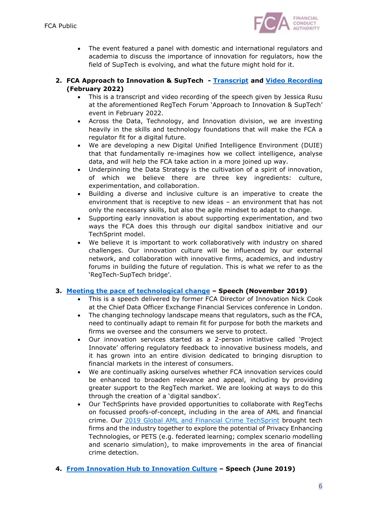

 The event featured a panel with domestic and international regulators and academia to discuss the importance of innovation for regulators, how the field of SupTech is evolving, and what the future might hold for it.

### **2. FCA Approach to Innovation & SupTech - [Transcript](https://www.fca.org.uk/publication/transcripts/jessica-rusu-regtech-forum.pdf) and [Video Recording](https://www.fca.org.uk/multimedia/video-what-innovation-means-fca) (February 2022)**

- This is a transcript and video recording of the speech given by Jessica Rusu at the aforementioned RegTech Forum 'Approach to Innovation & SupTech' event in February 2022.
- Across the Data, Technology, and Innovation division, we are investing heavily in the skills and technology foundations that will make the FCA a regulator fit for a digital future.
- We are developing a new Digital Unified Intelligence Environment (DUIE) that that fundamentally re-imagines how we collect intelligence, analyse data, and will help the FCA take action in a more joined up way.
- Underpinning the Data Strategy is the cultivation of a spirit of innovation, of which we believe there are three key ingredients: culture, experimentation, and collaboration.
- Building a diverse and inclusive culture is an imperative to create the environment that is receptive to new ideas – an environment that has not only the necessary skills, but also the agile mindset to adapt to change.
- Supporting early innovation is about supporting experimentation, and two ways the FCA does this through our digital sandbox initiative and our TechSprint model.
- We believe it is important to work collaboratively with industry on shared challenges. Our innovation culture will be influenced by our external network, and collaboration with innovative firms, academics, and industry forums in building the future of regulation. This is what we refer to as the 'RegTech-SupTech bridge'.

## **3. [Meeting the pace of technological change](https://www.fca.org.uk/news/speeches/meeting-pace-technological-change) – Speech (November 2019)**

- This is a speech delivered by former FCA Director of Innovation Nick Cook at the Chief Data Officer Exchange Financial Services conference in London.
- The changing technology landscape means that regulators, such as the FCA, need to continually adapt to remain fit for purpose for both the markets and firms we oversee and the consumers we serve to protect.
- Our innovation services started as a 2-person initiative called 'Project Innovate' offering regulatory feedback to innovative business models, and it has grown into an entire division dedicated to bringing disruption to financial markets in the interest of consumers.
- We are continually asking ourselves whether FCA innovation services could be enhanced to broaden relevance and appeal, including by providing greater support to the RegTech market. We are looking at ways to do this through the creation of a 'digital sandbox'.
- Our TechSprints have provided opportunities to collaborate with RegTechs on focussed proofs-of-concept, including in the area of AML and financial crime. Our [2019 Global AML and Financial Crime TechSprint](https://www.fca.org.uk/events/techsprints/2019-global-aml-and-financial-crime-techsprint) brought tech firms and the industry together to explore the potential of Privacy Enhancing Technologies, or PETS (e.g. federated learning; complex scenario modelling and scenario simulation), to make improvements in the area of financial crime detection.
- **4. [From Innovation Hub to Innovation Culture](https://www.fca.org.uk/news/speeches/innovation-hub-innovation-culture) – Speech (June 2019)**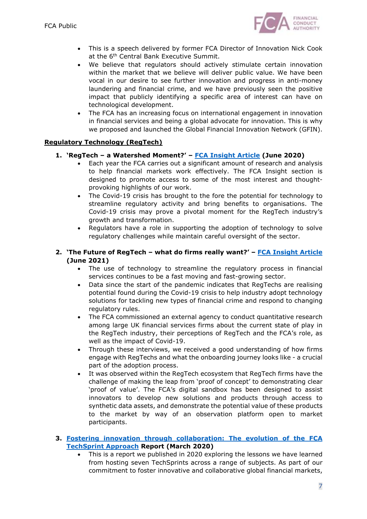

- This is a speech delivered by former FCA Director of Innovation Nick Cook at the 6<sup>th</sup> Central Bank Executive Summit.
- We believe that regulators should actively stimulate certain innovation within the market that we believe will deliver public value. We have been vocal in our desire to see further innovation and progress in anti-money laundering and financial crime, and we have previously seen the positive impact that publicly identifying a specific area of interest can have on technological development.
- The FCA has an increasing focus on international engagement in innovation in financial services and being a global advocate for innovation. This is why we proposed and launched the Global Financial Innovation Network (GFIN).

### **Regulatory Technology (RegTech)**

- **1. 'RegTech – a Watershed Moment?' – [FCA Insight Article](https://www.fca.org.uk/insight/regtech-watershed-moment) (June 2020)**
	- Each year the FCA carries out a significant amount of research and analysis to help financial markets work effectively. The FCA Insight section is designed to promote access to some of the most interest and thoughtprovoking highlights of our work.
	- The Covid-19 crisis has brought to the fore the potential for technology to streamline regulatory activity and bring benefits to organisations. The Covid-19 crisis may prove a pivotal moment for the RegTech industry's growth and transformation.
	- Regulators have a role in supporting the adoption of technology to solve regulatory challenges while maintain careful oversight of the sector.

### **2. 'The Future of RegTech – what do firms really want?' – [FCA Insight Article](https://www.fca.org.uk/insight/future-regtech-what-do-firms-really-want) (June 2021)**

- The use of technology to streamline the regulatory process in financial services continues to be a fast moving and fast-growing sector.
- Data since the start of the pandemic indicates that RegTechs are realising potential found during the Covid-19 crisis to help industry adopt technology solutions for tackling new types of financial crime and respond to changing regulatory rules.
- The FCA commissioned an external agency to conduct quantitative research among large UK financial services firms about the current state of play in the RegTech industry, their perceptions of RegTech and the FCA's role, as well as the impact of Covid-19.
- Through these interviews, we received a good understanding of how firms engage with RegTechs and what the onboarding journey looks like - a crucial part of the adoption process.
- It was observed within the RegTech ecosystem that RegTech firms have the challenge of making the leap from 'proof of concept' to demonstrating clear 'proof of value'. The FCA's digital sandbox has been designed to assist innovators to develop new solutions and products through access to synthetic data assets, and demonstrate the potential value of these products to the market by way of an observation platform open to market participants.
- **3. [Fostering innovation through collaboration: The evolution of the FCA](https://www.fca.org.uk/publication/research/fostering-innovation-through-collaboration-evolution-techsprint-approach.pdf) TechSprint Approach Report (March 2020)**
	- This is a report we published in 2020 exploring the lessons we have learned from hosting seven TechSprints across a range of subjects. As part of our commitment to foster innovative and collaborative global financial markets,